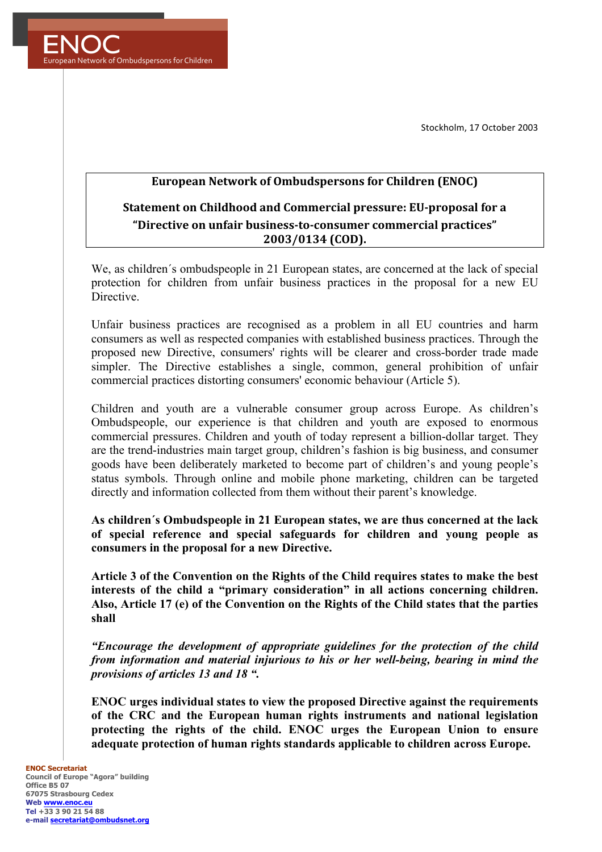Stockholm, 17 October 2003



## **European Network of Ombudspersons for Children (ENOC)**

## **Statement on Childhood and Commercial pressure: EU-proposal for a "Directive on unfair business-to-consumer commercial practices" 2003/0134 (COD).**

We, as children´s ombudspeople in 21 European states, are concerned at the lack of special protection for children from unfair business practices in the proposal for a new EU **Directive** 

Unfair business practices are recognised as a problem in all EU countries and harm consumers as well as respected companies with established business practices. Through the proposed new Directive, consumers' rights will be clearer and cross-border trade made simpler. The Directive establishes a single, common, general prohibition of unfair commercial practices distorting consumers' economic behaviour (Article 5).

Children and youth are a vulnerable consumer group across Europe. As children's Ombudspeople, our experience is that children and youth are exposed to enormous commercial pressures. Children and youth of today represent a billion-dollar target. They are the trend-industries main target group, children's fashion is big business, and consumer goods have been deliberately marketed to become part of children's and young people's status symbols. Through online and mobile phone marketing, children can be targeted directly and information collected from them without their parent's knowledge.

**As children´s Ombudspeople in 21 European states, we are thus concerned at the lack of special reference and special safeguards for children and young people as consumers in the proposal for a new Directive.**

**Article 3 of the Convention on the Rights of the Child requires states to make the best interests of the child a "primary consideration" in all actions concerning children. Also, Article 17 (e) of the Convention on the Rights of the Child states that the parties shall**

*"Encourage the development of appropriate guidelines for the protection of the child from information and material injurious to his or her well-being, bearing in mind the provisions of articles 13 and 18 ".* 

**ENOC urges individual states to view the proposed Directive against the requirements of the CRC and the European human rights instruments and national legislation protecting the rights of the child. ENOC urges the European Union to ensure adequate protection of human rights standards applicable to children across Europe.**